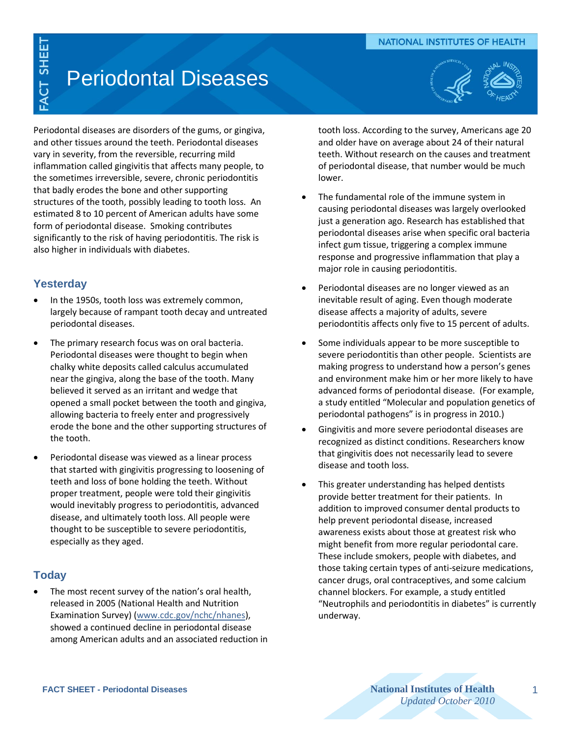#### **NATIONAL INSTITUTES OF HEALTH**

# FACT SHEET

# Periodontal Diseases



Periodontal diseases are disorders of the gums, or gingiva, and other tissues around the teeth. Periodontal diseases vary in severity, from the reversible, recurring mild inflammation called gingivitis that affects many people, to the sometimes irreversible, severe, chronic periodontitis that badly erodes the bone and other supporting structures of the tooth, possibly leading to tooth loss. An estimated 8 to 10 percent of American adults have some form of periodontal disease. Smoking contributes significantly to the risk of having periodontitis. The risk is also higher in individuals with diabetes.

## **Yesterday**

- In the 1950s, tooth loss was extremely common, largely because of rampant tooth decay and untreated periodontal diseases.
- The primary research focus was on oral bacteria. Periodontal diseases were thought to begin when chalky white deposits called calculus accumulated near the gingiva, along the base of the tooth. Many believed it served as an irritant and wedge that opened a small pocket between the tooth and gingiva, allowing bacteria to freely enter and progressively erode the bone and the other supporting structures of the tooth.
- Periodontal disease was viewed as a linear process that started with gingivitis progressing to loosening of teeth and loss of bone holding the teeth. Without proper treatment, people were told their gingivitis would inevitably progress to periodontitis, advanced disease, and ultimately tooth loss. All people were thought to be susceptible to severe periodontitis, especially as they aged.

# **Today**

 The most recent survey of the nation's oral health, released in 2005 (National Health and Nutrition Examination Survey) [\(www.cdc.gov/nchc/nhanes\)](http://www.cdc.gov/nchc/nhanes), showed a continued decline in periodontal disease among American adults and an associated reduction in

tooth loss. According to the survey, Americans age 20 and older have on average about 24 of their natural teeth. Without research on the causes and treatment of periodontal disease, that number would be much lower.

- The fundamental role of the immune system in causing periodontal diseases was largely overlooked just a generation ago. Research has established that periodontal diseases arise when specific oral bacteria infect gum tissue, triggering a complex immune response and progressive inflammation that play a major role in causing periodontitis.
- Periodontal diseases are no longer viewed as an inevitable result of aging. Even though moderate disease affects a majority of adults, severe periodontitis affects only five to 15 percent of adults.
- Some individuals appear to be more susceptible to severe periodontitis than other people. Scientists are making progress to understand how a person's genes and environment make him or her more likely to have advanced forms of periodontal disease. (For example, a study entitled "Molecular and population genetics of periodontal pathogens" is in progress in 2010.)
- Gingivitis and more severe periodontal diseases are recognized as distinct conditions. Researchers know that gingivitis does not necessarily lead to severe disease and tooth loss.
- This greater understanding has helped dentists provide better treatment for their patients. In addition to improved consumer dental products to help prevent periodontal disease, increased awareness exists about those at greatest risk who might benefit from more regular periodontal care. These include smokers, people with diabetes, and those taking certain types of anti-seizure medications, cancer drugs, oral contraceptives, and some calcium channel blockers. For example, a study entitled "Neutrophils and periodontitis in diabetes" is currently underway.